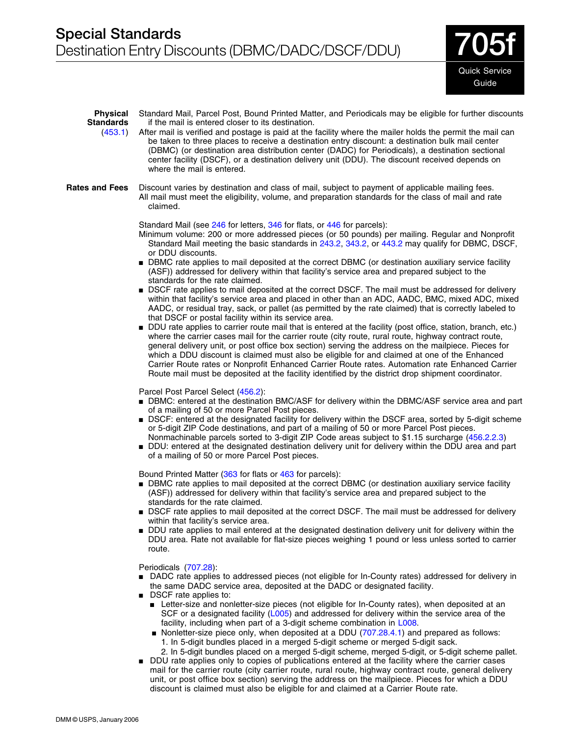**7** Quick Service Guide

| Standard Mail, Parcel Post, Bound Printed Matter, and Periodicals may be eligible for further discounts<br>if the mail is entered closer to its destination.<br>After mail is verified and postage is paid at the facility where the mailer holds the permit the mail can<br>be taken to three places to receive a destination entry discount: a destination bulk mail center<br>(DBMC) (or destination area distribution center (DADC) for Periodicals), a destination sectional<br>center facility (DSCF), or a destination delivery unit (DDU). The discount received depends on<br>where the mail is entered.<br>Discount varies by destination and class of mail, subject to payment of applicable mailing fees.<br>All mail must meet the eligibility, volume, and preparation standards for the class of mail and rate<br>claimed.<br>Standard Mail (see 246 for letters, 346 for flats, or 446 for parcels):<br>Minimum volume: 200 or more addressed pieces (or 50 pounds) per mailing. Regular and Nonprofit<br>Standard Mail meeting the basic standards in 243.2, 343.2, or 443.2 may qualify for DBMC, DSCF,<br>or DDU discounts.<br>■ DBMC rate applies to mail deposited at the correct DBMC (or destination auxiliary service facility<br>(ASF)) addressed for delivery within that facility's service area and prepared subject to the<br>standards for the rate claimed.<br>■ DSCF rate applies to mail deposited at the correct DSCF. The mail must be addressed for delivery<br>within that facility's service area and placed in other than an ADC, AADC, BMC, mixed ADC, mixed<br>AADC, or residual tray, sack, or pallet (as permitted by the rate claimed) that is correctly labeled to<br>that DSCF or postal facility within its service area.<br>DDU rate applies to carrier route mail that is entered at the facility (post office, station, branch, etc.) |
|-----------------------------------------------------------------------------------------------------------------------------------------------------------------------------------------------------------------------------------------------------------------------------------------------------------------------------------------------------------------------------------------------------------------------------------------------------------------------------------------------------------------------------------------------------------------------------------------------------------------------------------------------------------------------------------------------------------------------------------------------------------------------------------------------------------------------------------------------------------------------------------------------------------------------------------------------------------------------------------------------------------------------------------------------------------------------------------------------------------------------------------------------------------------------------------------------------------------------------------------------------------------------------------------------------------------------------------------------------------------------------------------------------------------------------------------------------------------------------------------------------------------------------------------------------------------------------------------------------------------------------------------------------------------------------------------------------------------------------------------------------------------------------------------------------------------------------------------------------------------------------------------|
|                                                                                                                                                                                                                                                                                                                                                                                                                                                                                                                                                                                                                                                                                                                                                                                                                                                                                                                                                                                                                                                                                                                                                                                                                                                                                                                                                                                                                                                                                                                                                                                                                                                                                                                                                                                                                                                                                         |
|                                                                                                                                                                                                                                                                                                                                                                                                                                                                                                                                                                                                                                                                                                                                                                                                                                                                                                                                                                                                                                                                                                                                                                                                                                                                                                                                                                                                                                                                                                                                                                                                                                                                                                                                                                                                                                                                                         |
|                                                                                                                                                                                                                                                                                                                                                                                                                                                                                                                                                                                                                                                                                                                                                                                                                                                                                                                                                                                                                                                                                                                                                                                                                                                                                                                                                                                                                                                                                                                                                                                                                                                                                                                                                                                                                                                                                         |
| where the carrier cases mail for the carrier route (city route, rural route, highway contract route,<br>general delivery unit, or post office box section) serving the address on the mailpiece. Pieces for<br>which a DDU discount is claimed must also be eligible for and claimed at one of the Enhanced<br>Carrier Route rates or Nonprofit Enhanced Carrier Route rates. Automation rate Enhanced Carrier<br>Route mail must be deposited at the facility identified by the district drop shipment coordinator.                                                                                                                                                                                                                                                                                                                                                                                                                                                                                                                                                                                                                                                                                                                                                                                                                                                                                                                                                                                                                                                                                                                                                                                                                                                                                                                                                                    |
| Parcel Post Parcel Select (456.2):<br>DBMC: entered at the destination BMC/ASF for delivery within the DBMC/ASF service area and part<br>of a mailing of 50 or more Parcel Post pieces.<br>■ DSCF: entered at the designated facility for delivery within the DSCF area, sorted by 5-digit scheme<br>or 5-digit ZIP Code destinations, and part of a mailing of 50 or more Parcel Post pieces.<br>Nonmachinable parcels sorted to 3-digit ZIP Code areas subject to \$1.15 surcharge (456.2.2.3)<br>DDU: entered at the designated destination delivery unit for delivery within the DDU area and part<br>of a mailing of 50 or more Parcel Post pieces.                                                                                                                                                                                                                                                                                                                                                                                                                                                                                                                                                                                                                                                                                                                                                                                                                                                                                                                                                                                                                                                                                                                                                                                                                                |
| Bound Printed Matter (363 for flats or 463 for parcels):<br>• DBMC rate applies to mail deposited at the correct DBMC (or destination auxiliary service facility<br>(ASF)) addressed for delivery within that facility's service area and prepared subject to the<br>standards for the rate claimed.<br>■ DSCF rate applies to mail deposited at the correct DSCF. The mail must be addressed for delivery<br>within that facility's service area.<br>DDU rate applies to mail entered at the designated destination delivery unit for delivery within the<br>DDU area. Rate not available for flat-size pieces weighing 1 pound or less unless sorted to carrier<br>route.                                                                                                                                                                                                                                                                                                                                                                                                                                                                                                                                                                                                                                                                                                                                                                                                                                                                                                                                                                                                                                                                                                                                                                                                             |
| Periodicals (707.28):<br>■ DADC rate applies to addressed pieces (not eligible for In-County rates) addressed for delivery in<br>the same DADC service area, deposited at the DADC or designated facility.<br>■ DSCF rate applies to:<br>Letter-size and nonletter-size pieces (not eligible for In-County rates), when deposited at an<br>SCF or a designated facility (L005) and addressed for delivery within the service area of the<br>facility, including when part of a 3-digit scheme combination in L008.<br>Nonletter-size piece only, when deposited at a DDU (707.28.4.1) and prepared as follows:<br>1. In 5-digit bundles placed in a merged 5-digit scheme or merged 5-digit sack.<br>2. In 5-digit bundles placed on a merged 5-digit scheme, merged 5-digit, or 5-digit scheme pallet.<br>DDU rate applies only to copies of publications entered at the facility where the carrier cases<br>mail for the carrier route (city carrier route, rural route, highway contract route, general delivery                                                                                                                                                                                                                                                                                                                                                                                                                                                                                                                                                                                                                                                                                                                                                                                                                                                                     |
| unit, or post office box section) serving the address on the mailpiece. Pieces for which a DDU                                                                                                                                                                                                                                                                                                                                                                                                                                                                                                                                                                                                                                                                                                                                                                                                                                                                                                                                                                                                                                                                                                                                                                                                                                                                                                                                                                                                                                                                                                                                                                                                                                                                                                                                                                                          |

discount is claimed must also be eligible for and claimed at a Carrier Route rate.